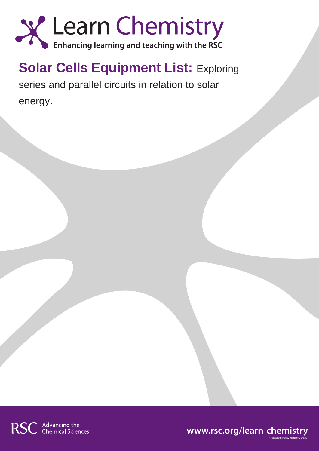

## **Solar Cells Equipment List: Exploring**

series and parallel circuits in relation to solar energy.